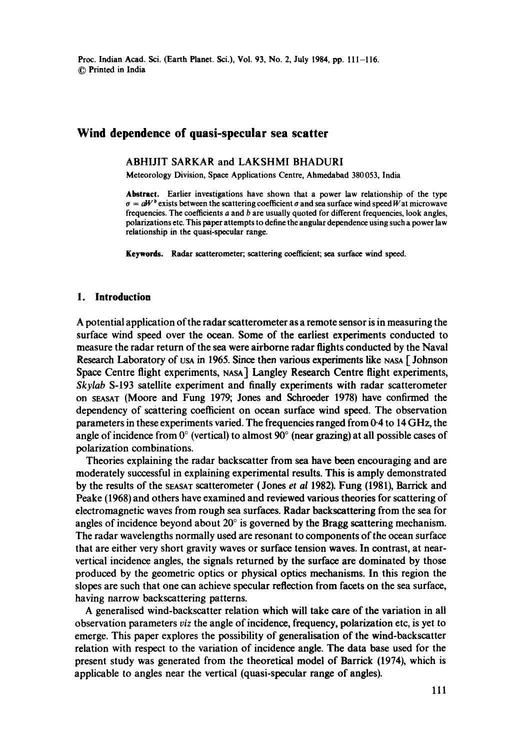# **Wind dependence of quasi-specular sea scatter**

## ABHIJIT SARKAR and LAKSHMI BHADURI

Meteorology Division, Space Applications Centre, Ahmedabad 380053, India

Abstract. Earlier investigations have shown that a power law relationship of the type  $\sigma = aW^b$  exists between the scattering coefficient  $\sigma$  and sea surface wind speed W at microwave frequencies. The coefficients a and b are usually quoted for different frequencies, look angles, polarizations etc. This paper attempts to define the angular dependence using such a power law relationship in the quasi-specular range.

**Keywords.** Radar scatterometer; scattering coefficient; sea surface wind speed.

#### **1. Introduction**

A potential application of the radar scatterometer as a remote sensor is in measuring the surface wind speed over the ocean. Some of the earliest experiments conducted to measure the radar return of the sea were airborne radar flights conducted by the Naval Research Laboratory of Usa in 1965. Since then various experiments like  $NAS \sim$  Johnson Space Centre flight experiments, NASA] Langley Research Centre flight experiments, *Skylab* S-193 satellite experiment and finally experiments with radar scatterometer on SEASAT (Moore and Fung 1979; Jones and Schroeder 1978) have confirmed the dependency of scattering coefficient on ocean surface wind speed. The observation parameters in these experiments varied. The frequencies ranged from 0-4 to 14 GHz, the angle of incidence from  $0^{\circ}$  (vertical) to almost 90 $^{\circ}$  (near grazing) at all possible cases of polarization combinations.

Theories explaining the radar backscatter from sea have been encouraging and are moderately successful in explaining experimental results. This is amply demonstrated by the results of the SEASAT scatterometer (Jones *et al* 1982). Fung (1981), Barrick and Peake (1968) and others have examined and reviewed various theories for scattering of electromagnetic waves from rough sea surfaces. Radar backscattering from the sea for angles of incidence beyond about  $20^{\circ}$  is governed by the Bragg scattering mechanism. The radar wavelengths normally used are resonant to components of the ocean surface that are either very short gravity waves or surface tension waves. In contrast, at nearvertical incidence angles, the signals returned by the surface are dominated by those produced by the geometric optics or physical optics mechanisms. In this region the slopes are such that one can achieve specular reflection from facets on the sea surface, having narrow backseattering patterns.

A generalised wind-backscatter relation which will take care of the variation in all observation parameters *viz* the angle of incidence, frequency, polarization etc, is yet to emerge. This paper explores the possibility of generalisation of the wind-backscatter relation with respect to the variation of incidence angle. The data base used for the present study was generated from the theoretical model of Barrick (1974), which is applicable to angles near the vertical (quasi-specular range of angles).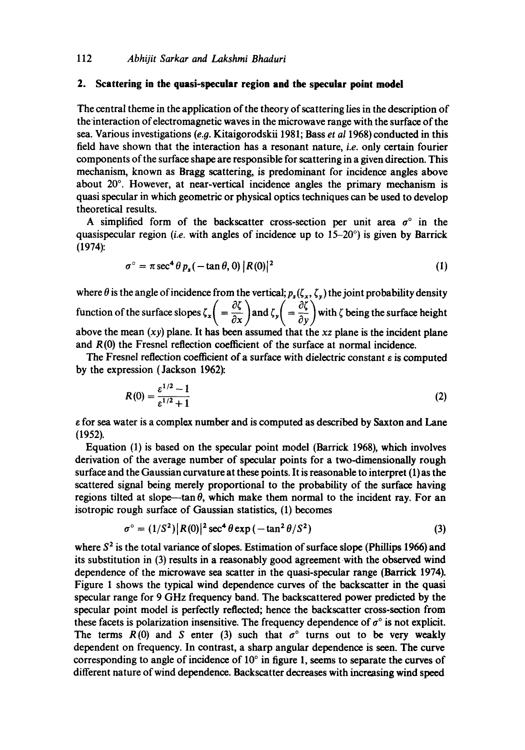# **2. Scattering in the quasi-specular region and the specular point model**

The central theme in the application of the theory of scattering lies in the description of the interaction of electromagnetic waves in the microwave range with the surface of the sea. Various investigations (e.g. Kitaigorodskii 1981; Bass *et al* 1968) conducted in this field have shown that the interaction has a resonant nature, *i.e.* only certain fourier components of the surface shape are responsible for scattering in a given direction. This mechanism, known as Bragg scattering, is predominant for incidence angles above about  $20^\circ$ . However, at near-vertical incidence angles the primary mechanism is quasi specular in which geometric or physical optics techniques can be used to develop theoretical results.

A simplified form of the backscatter cross-section per unit area  $\sigma^{\circ}$  in the quasispecular region *(i.e.* with angles of incidence up to 15-20°) is given by Barrick (1974):

$$
\sigma^{\circ} = \pi \sec^4 \theta \, p_s \left( -\tan \theta, 0 \right) |R(0)|^2 \tag{1}
$$

where  $\theta$  is the angle of incidence from the vertical;  $p_s(\zeta_x, \zeta_y)$  the joint probability density function of the surface slopes  $\zeta_x = \frac{3}{2}$  and  $\zeta_y = \frac{3}{2}$  with  $\zeta$  being the surface height above the mean *(xy)* plane. It has been assumed that the *xz* plane is the incident plane and R(0) the Fresnel reflection coefficient of the surface at normal incidence.

The Fresnel reflection coefficient of a surface with dielectric constant  $\varepsilon$  is computed by the expression (Jackson 1962):

$$
R(0) = \frac{\varepsilon^{1/2} - 1}{\varepsilon^{1/2} + 1}
$$
 (2)

e for sea water is a complex number and is computed as described by Saxton and Lane (1952).

Equation (1) is based on the specular point model (Barrick 1968), which involves derivation of the average number of specular points for a two-dimensionally rough surface and the Gaussian curvature at these points. It is reasonable to interpret (1) as the scattered signal being merely proportional to the probability of the surface having regions tilted at slope--tan  $\theta$ , which make them normal to the incident ray. For an isotropic rough surface of Gaussian statistics, (1) becomes

$$
\sigma^{\circ} = (1/S^2) |R(0)|^2 \sec^4 \theta \exp(-\tan^2 \theta/S^2)
$$
 (3)

where  $S<sup>2</sup>$  is the total variance of slopes. Estimation of surface slope (Phillips 1966) and its substitution in (3) results in a reasonably good agreement with the observed wind dependence of the microwave sea scatter in the quasi-specular range (Barrick 1974). Figure 1 shows the typical wind dependence curves of the backscatter in the quasi specular range for 9 GHz frequency band. The backscattered power predicted by the specular point model is perfectly reflected; hence the backscatter cross-section from these facets is polarization insensitive. The frequency dependence of  $\sigma^{\circ}$  is not explicit. The terms  $R(0)$  and S enter (3) such that  $\sigma^{\circ}$  turns out to be very weakly dependent on frequency. In contrast, a sharp angular dependence is seen. The curve corresponding to angle of incidence of  $10^{\circ}$  in figure 1, seems to separate the curves of different nature of wind dependence. Backscatter decreases with increasing wind speed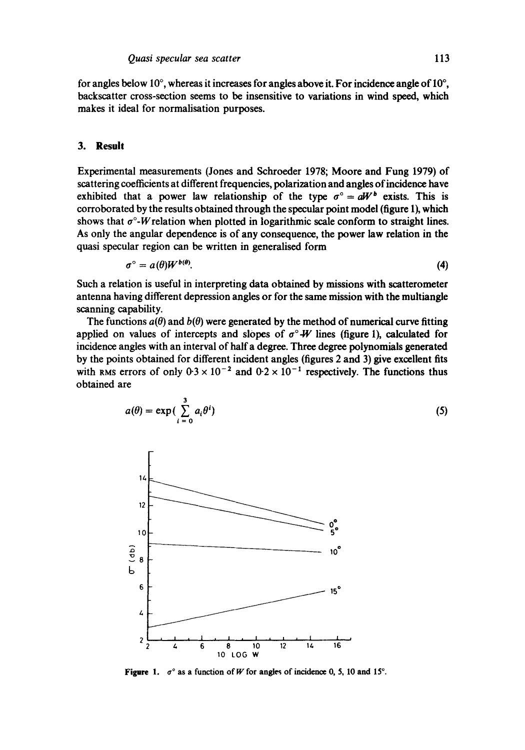for angles below 10 $^{\circ}$ , whereas it increases for angles above it. For incidence angle of 10 $^{\circ}$ , backscatter cross-section seems to be insensitive to variations in wind speed, which makes it ideal for normalisation purposes.

#### **3. Result**

Experimental measurements (Jones and Schroeder 1978; Moore and Fung 1979) of scattering coefficients at different frequencies, polarization and angles of incidence have exhibited that a power law relationship of the type  $\sigma^{\circ} = aW^b$  exists. This is corroborated by the results obtained through the specular point model (figure 1), which shows that  $\sigma^{\circ}$ -W relation when plotted in logarithmic scale conform to straight lines. As only the angular dependence is of any consequence, the power law relation in the quasi specular region can be written in generalised form

$$
\sigma^{\circ} = a(\theta)W^{b(\theta)}.
$$
 (4)

Such a relation is useful in interpreting data obtained by missions with scatterometer antenna having different depression angles or for the same mission with the multiangle scanning capability.

The functions  $a(\theta)$  and  $b(\theta)$  were generated by the method of numerical curve fitting applied on values of intercepts and slopes of  $\sigma^{\circ}$ -W lines (figure 1), calculated for incidence angles with an interval of half a degree. Three degree polynomials generated by the points obtained for different incident angles (figures 2 and 3) give excellent fits with RMS errors of only  $0.3 \times 10^{-2}$  and  $0.2 \times 10^{-1}$  respectively. The functions thus obtained are

$$
a(\theta) = \exp\left(\sum_{i=0}^{3} a_i \theta^i\right) \tag{5}
$$



**Figure 1.**  $\sigma^{\circ}$  as a function of W for angles of incidence 0, 5, 10 and 15°.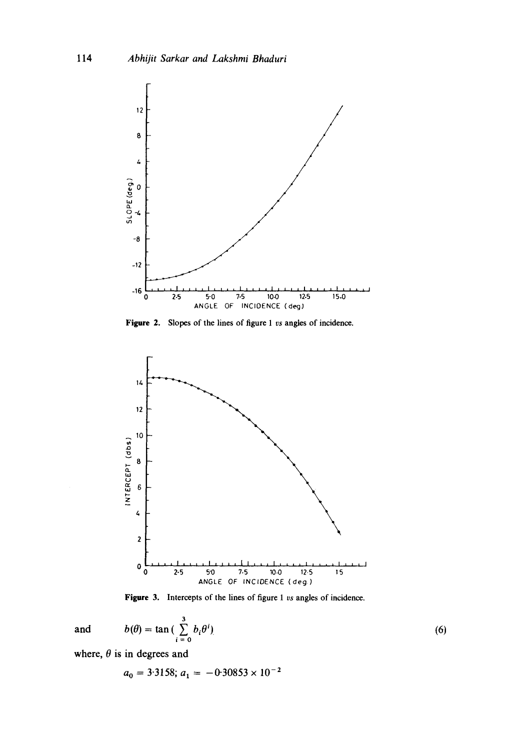

Figure 2. Slopes of the lines of figure 1 vs angles of incidence.



Figure 3. Intercepts of the lines of figure 1 vs angles of incidence.

$$
b(\theta) = \tan\left(\sum_{i=0}^{3} b_i \theta^i\right) \tag{6}
$$

where,  $\theta$  is in degrees and

and

$$
a_0 = 3.3158; a_1 = -0.30853 \times 10^{-2}
$$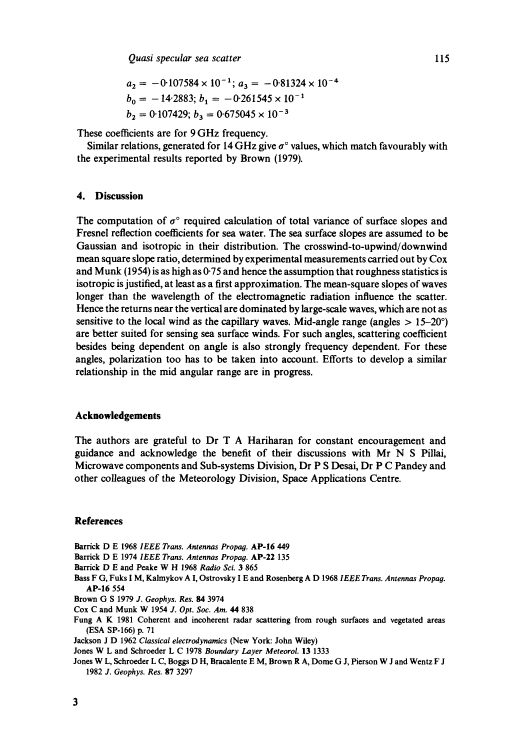$$
a_2 = -0.107584 \times 10^{-1}; a_3 = -0.81324 \times 10^{-4}
$$
  
\n
$$
b_0 = -14.2883; b_1 = -0.261545 \times 10^{-1}
$$
  
\n
$$
b_2 = 0.107429; b_3 = 0.675045 \times 10^{-3}
$$

These coefficients are for 9 GHz frequency.

Similar relations, generated for 14 GHz give  $\sigma^{\circ}$  values, which match favourably with the experimental results reported by Brown (1979).

# **4. Discussion**

The computation of  $\sigma^{\circ}$  required calculation of total variance of surface slopes and Fresnel reflection coefficients for sea water. The sea surface slopes are assumed to be Gaussian and isotropic in their distribution. The crosswind-to-upwind/downwind mean square slope ratio, determined by experimental measurements carried out by Cox and Munk (1954) is as high as  $0.75$  and hence the assumption that roughness statistics is isotropic is justified, at least as a first approximation. The mean-square slopes of waves longer than the wavelength of the electromagnetic radiation influence the scatter. Hence the returns near the vertical are dominated by large-scale waves, which are not as sensitive to the local wind as the capillary waves. Mid-angle range (angles  $> 15-20^{\circ}$ ) are better suited for sensing sea surface winds. For such angles, scattering coefficient besides being dependent on angle is also strongly frequency dependent. For these angles, polarization too has to be taken into account. Efforts to develop a similar relationship in the mid angular range are in progress.

#### **Acknowledgements**

The authors are grateful to Dr T A Hariharan for constant encouragement and guidance and acknowledge the benefit of their discussions with Mr N S Pillai, Microwave components and Sub-systems Division, Dr P S Desai, Dr P C Pandey and other colleagues of the Meteorology Division, Space Applications Centre.

# **References**

- Barrick D E 1968 *IEEE Trans. Antennas Propag.* AP-16 449
- Barrick D E 1974 *IEEE Trans. Antennas Propag.* AP-22 135
- Barrick D E and Peake W H 1968 Radio Sci. 3 865
- Bass F G, Fuks I M, Kalmykov A I, Ostrovsky I E and Rosenberg A D 1968 *IEEE Trans. Antennas Propag.*  AP-16 554
- Brown G S 1979 *J. Geophys. Res. 84* 3974
- Cox C and Munk W 1954 *J. Opt. Soc. Am. 44* 838
- Fung A K 1981 Coherent and incoherent radar scattering from rough surfaces and vegetated areas (ESA SP-166) p. 71
- Jackson J D 1962 *Classical electrodynamics* (New York: John Wiley)
- Jones W L and Schroeder L C 1978 *Boundary Layer Meteorol.* 13 1333
- Jones W L, Schroeder L C, Boggs D H, Bracalente E M, Brown R A, Dome G J, Pierson W J and Wentz F J 1982 *J. Geophys. Res.* 87 3297